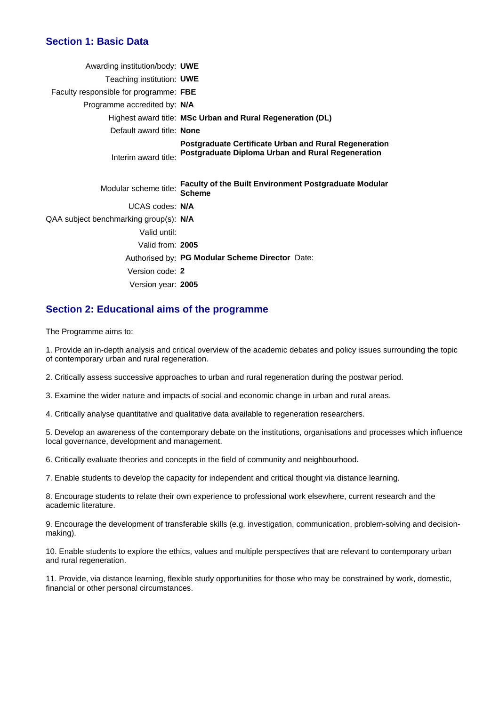### **Section 1: Basic Data**

| Awarding institution/body: UWE         |                                                                                                                   |
|----------------------------------------|-------------------------------------------------------------------------------------------------------------------|
| Teaching institution: UWE              |                                                                                                                   |
| Faculty responsible for programme: FBE |                                                                                                                   |
| Programme accredited by: N/A           |                                                                                                                   |
|                                        | Highest award title: MSc Urban and Rural Regeneration (DL)                                                        |
| Default award title: None              |                                                                                                                   |
| Interim award title:                   | <b>Postgraduate Certificate Urban and Rural Regeneration</b><br>Postgraduate Diploma Urban and Rural Regeneration |
| Modular scheme title:                  | Faculty of the Built Environment Postgraduate Modular<br><b>Scheme</b>                                            |
| UCAS codes: N/A                        |                                                                                                                   |
| QAA subject benchmarking group(s): N/A |                                                                                                                   |
| Valid until:                           |                                                                                                                   |
| Valid from: 2005                       |                                                                                                                   |
|                                        | Authorised by: PG Modular Scheme Director Date:                                                                   |
| Version code: 2                        |                                                                                                                   |
| Version year: 2005                     |                                                                                                                   |
|                                        |                                                                                                                   |

### **Section 2: Educational aims of the programme**

The Programme aims to:

1. Provide an in-depth analysis and critical overview of the academic debates and policy issues surrounding the topic of contemporary urban and rural regeneration.

2. Critically assess successive approaches to urban and rural regeneration during the postwar period.

3. Examine the wider nature and impacts of social and economic change in urban and rural areas.

4. Critically analyse quantitative and qualitative data available to regeneration researchers.

5. Develop an awareness of the contemporary debate on the institutions, organisations and processes which influence local governance, development and management.

6. Critically evaluate theories and concepts in the field of community and neighbourhood.

7. Enable students to develop the capacity for independent and critical thought via distance learning.

8. Encourage students to relate their own experience to professional work elsewhere, current research and the academic literature.

9. Encourage the development of transferable skills (e.g. investigation, communication, problem-solving and decisionmaking).

10. Enable students to explore the ethics, values and multiple perspectives that are relevant to contemporary urban and rural regeneration.

11. Provide, via distance learning, flexible study opportunities for those who may be constrained by work, domestic, financial or other personal circumstances.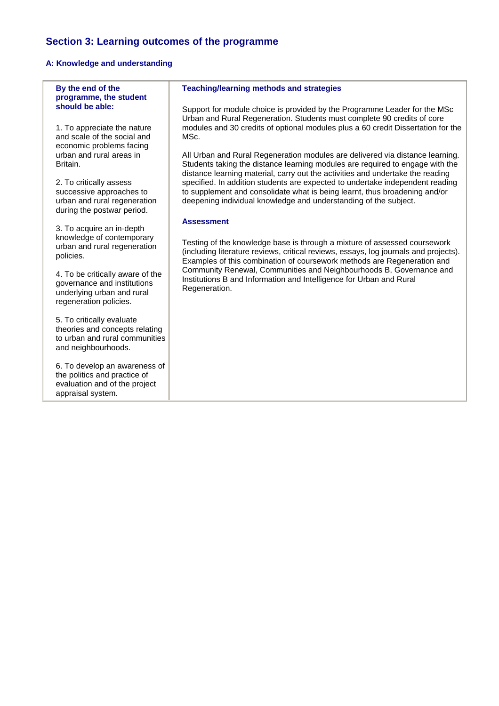# **Section 3: Learning outcomes of the programme**

# **A: Knowledge and understanding**

| By the end of the<br>programme, the student                                                                             | <b>Teaching/learning methods and strategies</b>                                                                                                                                                                                              |
|-------------------------------------------------------------------------------------------------------------------------|----------------------------------------------------------------------------------------------------------------------------------------------------------------------------------------------------------------------------------------------|
| should be able:                                                                                                         | Support for module choice is provided by the Programme Leader for the MSc<br>Urban and Rural Regeneration. Students must complete 90 credits of core                                                                                         |
| 1. To appreciate the nature<br>and scale of the social and                                                              | modules and 30 credits of optional modules plus a 60 credit Dissertation for the<br>MSc.                                                                                                                                                     |
| economic problems facing<br>urban and rural areas in                                                                    | All Urban and Rural Regeneration modules are delivered via distance learning.                                                                                                                                                                |
| Britain.                                                                                                                | Students taking the distance learning modules are required to engage with the<br>distance learning material, carry out the activities and undertake the reading                                                                              |
| 2. To critically assess<br>successive approaches to<br>urban and rural regeneration                                     | specified. In addition students are expected to undertake independent reading<br>to supplement and consolidate what is being learnt, thus broadening and/or<br>deepening individual knowledge and understanding of the subject.              |
| during the postwar period.                                                                                              | <b>Assessment</b>                                                                                                                                                                                                                            |
| 3. To acquire an in-depth<br>knowledge of contemporary<br>urban and rural regeneration<br>policies.                     | Testing of the knowledge base is through a mixture of assessed coursework<br>(including literature reviews, critical reviews, essays, log journals and projects).<br>Examples of this combination of coursework methods are Regeneration and |
| 4. To be critically aware of the<br>governance and institutions<br>underlying urban and rural<br>regeneration policies. | Community Renewal, Communities and Neighbourhoods B, Governance and<br>Institutions B and Information and Intelligence for Urban and Rural<br>Regeneration.                                                                                  |
| 5. To critically evaluate<br>theories and concepts relating<br>to urban and rural communities<br>and neighbourhoods.    |                                                                                                                                                                                                                                              |
| 6. To develop an awareness of<br>the politics and practice of<br>evaluation and of the project<br>appraisal system.     |                                                                                                                                                                                                                                              |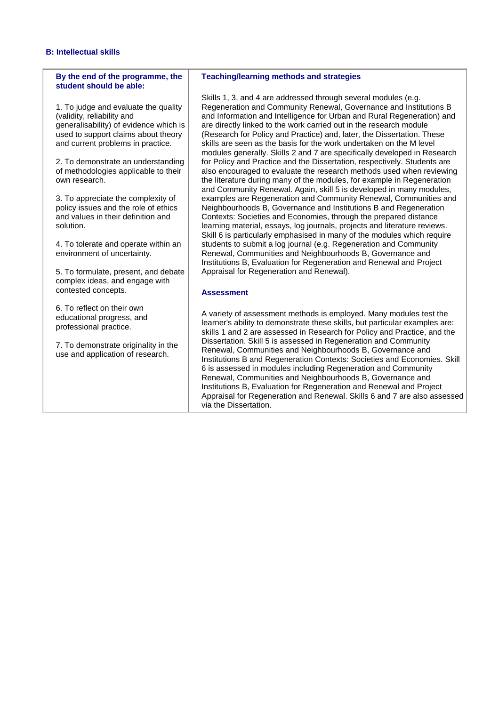#### **B: Intellectual skills**

#### **By the end of the programme, the student should be able:**

1. To judge and evaluate the quality (validity, reliability and generalisability) of evidence which is used to support claims about theory and current problems in practice.

2. To demonstrate an understanding of methodologies applicable to their own research.

3. To appreciate the complexity of policy issues and the role of ethics and values in their definition and solution.

4. To tolerate and operate within an environment of uncertainty.

5. To formulate, present, and debate complex ideas, and engage with contested concepts.

6. To reflect on their own educational progress, and professional practice.

7. To demonstrate originality in the use and application of research.

#### **Teaching/learning methods and strategies**

Skills 1, 3, and 4 are addressed through several modules (e.g. Regeneration and Community Renewal, Governance and Institutions B and Information and Intelligence for Urban and Rural Regeneration) and are directly linked to the work carried out in the research module (Research for Policy and Practice) and, later, the Dissertation. These skills are seen as the basis for the work undertaken on the M level modules generally. Skills 2 and 7 are specifically developed in Research for Policy and Practice and the Dissertation, respectively. Students are also encouraged to evaluate the research methods used when reviewing the literature during many of the modules, for example in Regeneration and Community Renewal. Again, skill 5 is developed in many modules, examples are Regeneration and Community Renewal, Communities and Neighbourhoods B, Governance and Institutions B and Regeneration Contexts: Societies and Economies, through the prepared distance learning material, essays, log journals, projects and literature reviews. Skill 6 is particularly emphasised in many of the modules which require students to submit a log journal (e.g. Regeneration and Community Renewal, Communities and Neighbourhoods B, Governance and Institutions B, Evaluation for Regeneration and Renewal and Project Appraisal for Regeneration and Renewal).

#### **Assessment**

A variety of assessment methods is employed. Many modules test the learner's ability to demonstrate these skills, but particular examples are: skills 1 and 2 are assessed in Research for Policy and Practice, and the Dissertation. Skill 5 is assessed in Regeneration and Community Renewal, Communities and Neighbourhoods B, Governance and Institutions B and Regeneration Contexts: Societies and Economies. Skill 6 is assessed in modules including Regeneration and Community Renewal, Communities and Neighbourhoods B, Governance and Institutions B, Evaluation for Regeneration and Renewal and Project Appraisal for Regeneration and Renewal. Skills 6 and 7 are also assessed via the Dissertation.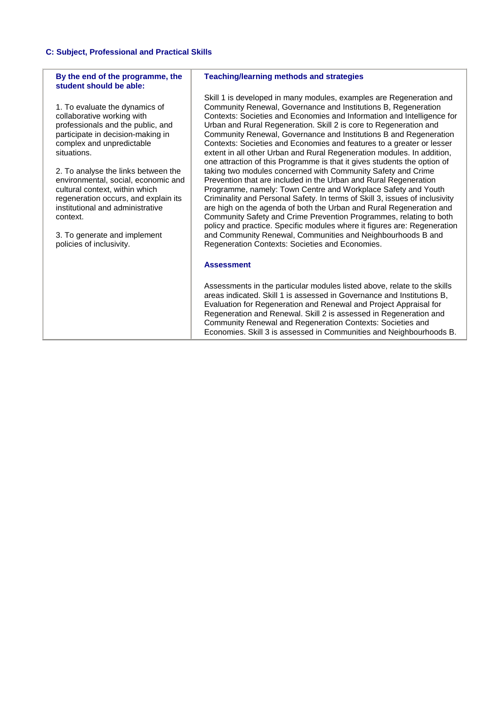#### **C: Subject, Professional and Practical Skills**

#### **By the end of the programme, the student should be able:**

1. To evaluate the dynamics of collaborative working with professionals and the public, and participate in decision-making in complex and unpredictable situations.

2. To analyse the links between the environmental, social, economic and cultural context, within which regeneration occurs, and explain its institutional and administrative context.

3. To generate and implement policies of inclusivity.

#### **Teaching/learning methods and strategies**

Skill 1 is developed in many modules, examples are Regeneration and Community Renewal, Governance and Institutions B, Regeneration Contexts: Societies and Economies and Information and Intelligence for Urban and Rural Regeneration. Skill 2 is core to Regeneration and Community Renewal, Governance and Institutions B and Regeneration Contexts: Societies and Economies and features to a greater or lesser extent in all other Urban and Rural Regeneration modules. In addition, one attraction of this Programme is that it gives students the option of taking two modules concerned with Community Safety and Crime Prevention that are included in the Urban and Rural Regeneration Programme, namely: Town Centre and Workplace Safety and Youth Criminality and Personal Safety. In terms of Skill 3, issues of inclusivity are high on the agenda of both the Urban and Rural Regeneration and Community Safety and Crime Prevention Programmes, relating to both policy and practice. Specific modules where it figures are: Regeneration and Community Renewal, Communities and Neighbourhoods B and Regeneration Contexts: Societies and Economies.

#### **Assessment**

Assessments in the particular modules listed above, relate to the skills areas indicated. Skill 1 is assessed in Governance and Institutions B, Evaluation for Regeneration and Renewal and Project Appraisal for Regeneration and Renewal. Skill 2 is assessed in Regeneration and Community Renewal and Regeneration Contexts: Societies and Economies. Skill 3 is assessed in Communities and Neighbourhoods B.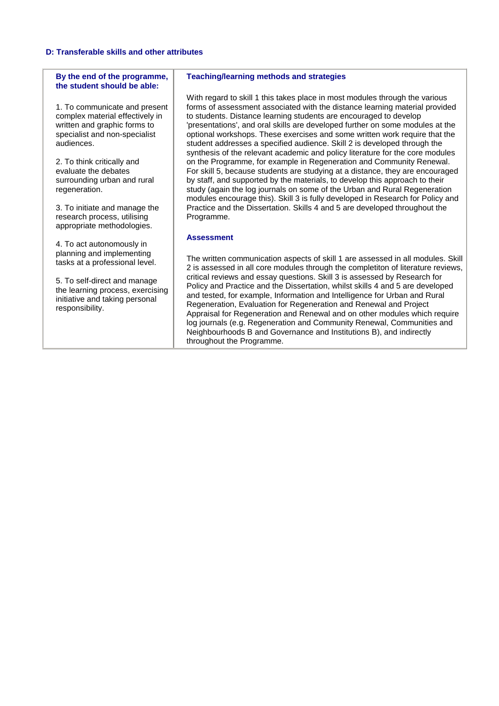#### **D: Transferable skills and other attributes**

#### **By the end of the programme, the student should be able:**

1. To communicate and present complex material effectively in written and graphic forms to specialist and non-specialist audiences.

2. To think critically and evaluate the debates surrounding urban and rural regeneration.

3. To initiate and manage the research process, utilising appropriate methodologies.

4. To act autonomously in planning and implementing tasks at a professional level.

5. To self-direct and manage the learning process, exercising initiative and taking personal responsibility.

#### **Teaching/learning methods and strategies**

With regard to skill 1 this takes place in most modules through the various forms of assessment associated with the distance learning material provided to students. Distance learning students are encouraged to develop 'presentations', and oral skills are developed further on some modules at the optional workshops. These exercises and some written work require that the student addresses a specified audience. Skill 2 is developed through the synthesis of the relevant academic and policy literature for the core modules on the Programme, for example in Regeneration and Community Renewal. For skill 5, because students are studying at a distance, they are encouraged by staff, and supported by the materials, to develop this approach to their study (again the log journals on some of the Urban and Rural Regeneration modules encourage this). Skill 3 is fully developed in Research for Policy and Practice and the Dissertation. Skills 4 and 5 are developed throughout the Programme.

#### **Assessment**

The written communication aspects of skill 1 are assessed in all modules. Skill 2 is assessed in all core modules through the completiton of literature reviews, critical reviews and essay questions. Skill 3 is assessed by Research for Policy and Practice and the Dissertation, whilst skills 4 and 5 are developed and tested, for example, Information and Intelligence for Urban and Rural Regeneration, Evaluation for Regeneration and Renewal and Project Appraisal for Regeneration and Renewal and on other modules which require log journals (e.g. Regeneration and Community Renewal, Communities and Neighbourhoods B and Governance and Institutions B), and indirectly throughout the Programme.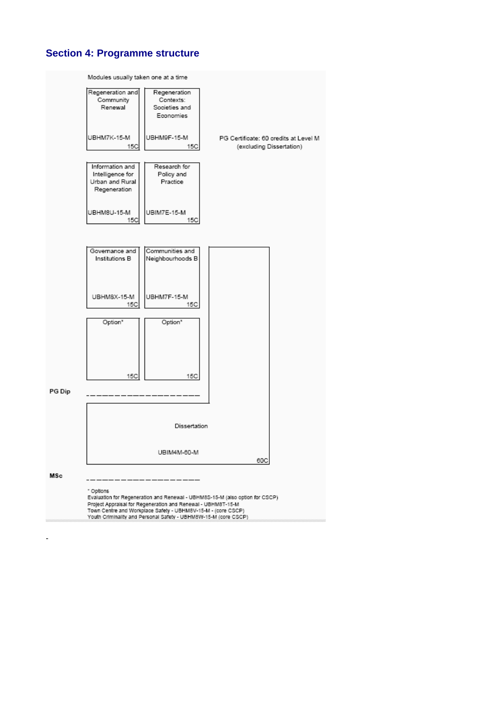# **Section 4: Programme structure**

-

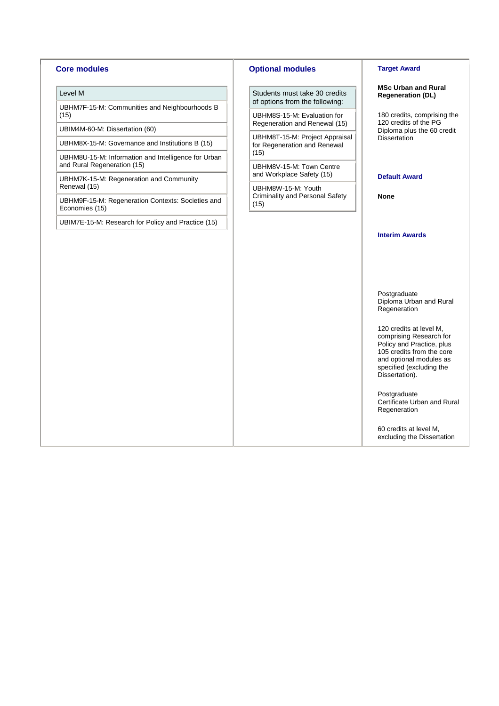#### **Core modules**

#### Level M

UBHM7F-15-M: Communities and Neighbourhoods B (15)

UBIM4M-60-M: Dissertation (60)

UBHM8X-15-M: Governance and Institutions B (15)

UBHM8U-15-M: Information and Intelligence for Urban and Rural Regeneration (15)

UBHM7K-15-M: Regeneration and Community Renewal (15)

UBHM9F-15-M: Regeneration Contexts: Societies and Economies (15)

UBIM7E-15-M: Research for Policy and Practice (15)

#### **Optional modules**

Students must take 30 credits of options from the following:

UBHM8S-15-M: Evaluation for Regeneration and Renewal (15)

UBHM8T-15-M: Project Appraisal for Regeneration and Renewal (15)

UBHM8V-15-M: Town Centre and Workplace Safety (15)

UBHM8W-15-M: Youth Criminality and Personal Safety (15)

#### **Target Award**

**MSc Urban and Rural Regeneration (DL)**

180 credits, comprising the 120 credits of the PG Diploma plus the 60 credit Dissertation

#### **Default Award**

**None**

#### **Interim Awards**

Postgraduate Diploma Urban and Rural Regeneration

120 credits at level M, comprising Research for Policy and Practice, plus 105 credits from the core and optional modules as specified (excluding the Dissertation).

Postgraduate Certificate Urban and Rural Regeneration

60 credits at level M, excluding the Dissertation